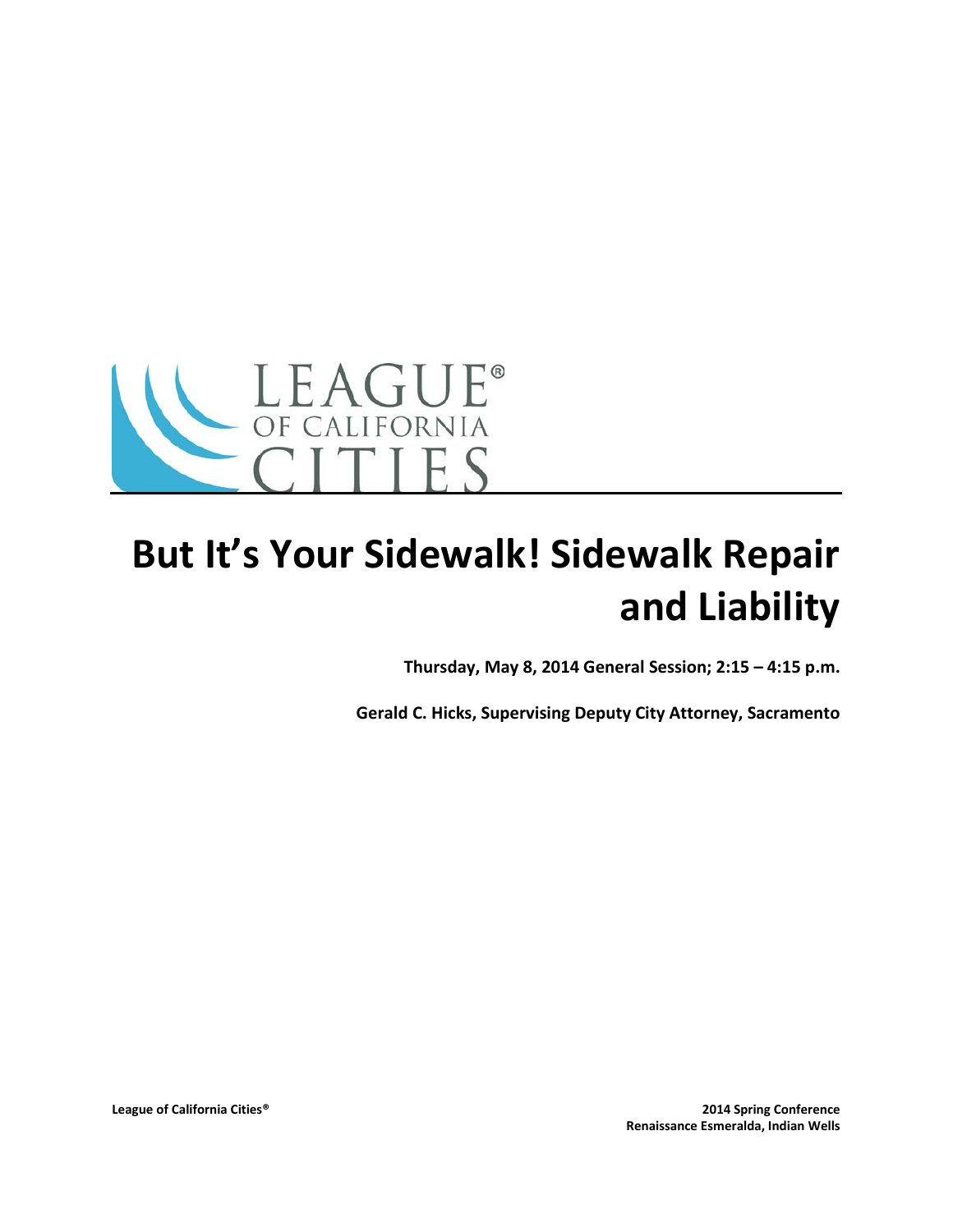

# **But It's Your Sidewalk! Sidewalk Repair and Liability**

**Thursday, May 8, 2014 General Session; 2:15 – 4:15 p.m.**

**Gerald C. Hicks, Supervising Deputy City Attorney, Sacramento**

**League of California Cities® 2014 Spring Conference Renaissance Esmeralda, Indian Wells**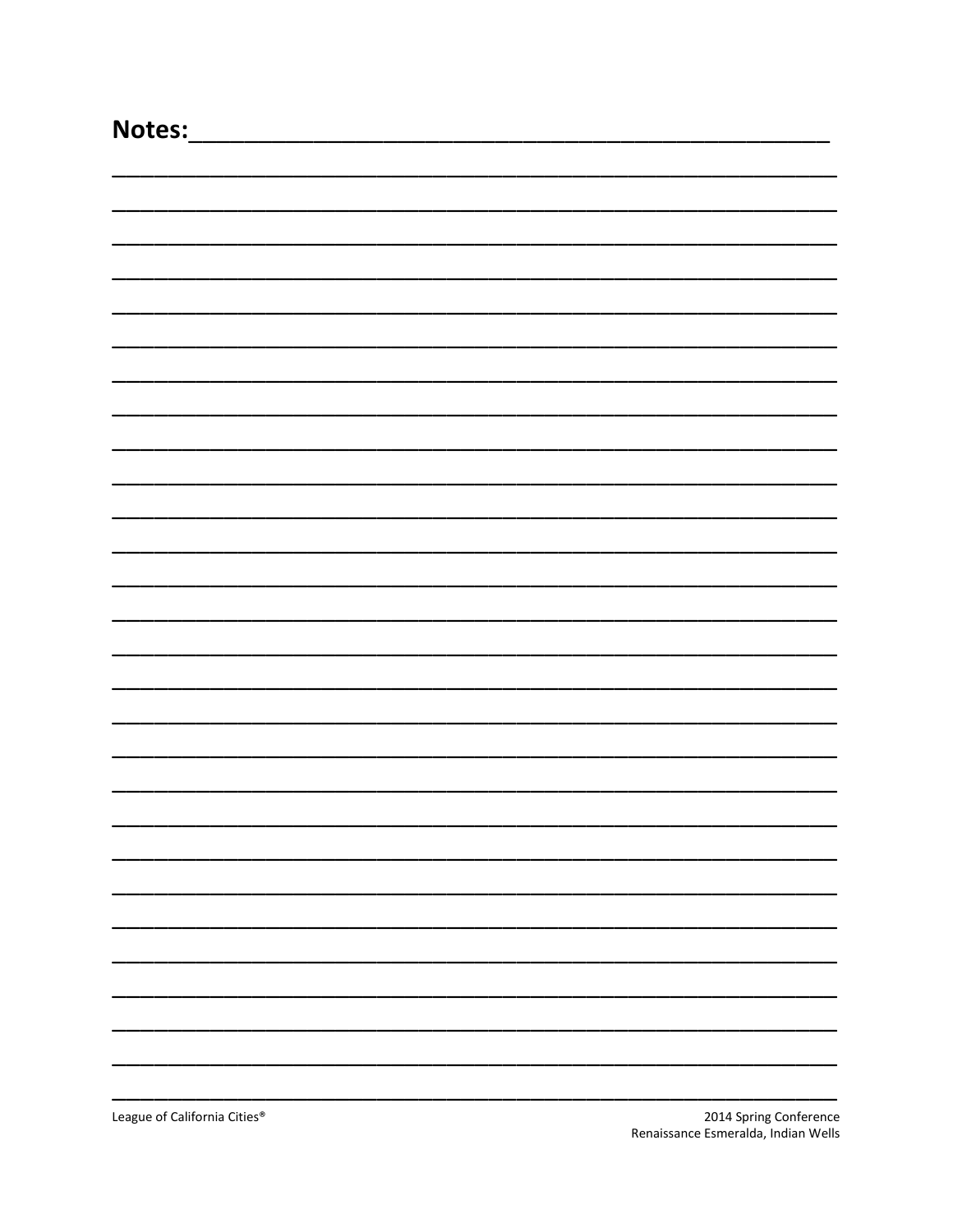| Notes:                       |                        |
|------------------------------|------------------------|
|                              |                        |
|                              |                        |
|                              |                        |
|                              |                        |
|                              |                        |
|                              |                        |
|                              |                        |
|                              |                        |
|                              |                        |
|                              |                        |
|                              |                        |
|                              |                        |
|                              |                        |
|                              |                        |
|                              |                        |
|                              |                        |
|                              |                        |
|                              |                        |
|                              |                        |
|                              |                        |
|                              |                        |
|                              |                        |
|                              |                        |
|                              |                        |
|                              |                        |
|                              |                        |
|                              |                        |
|                              |                        |
|                              |                        |
|                              |                        |
|                              |                        |
| League of California Cities® | 2014 Spring Conference |

Renaissance Esmeralda, Indian Wells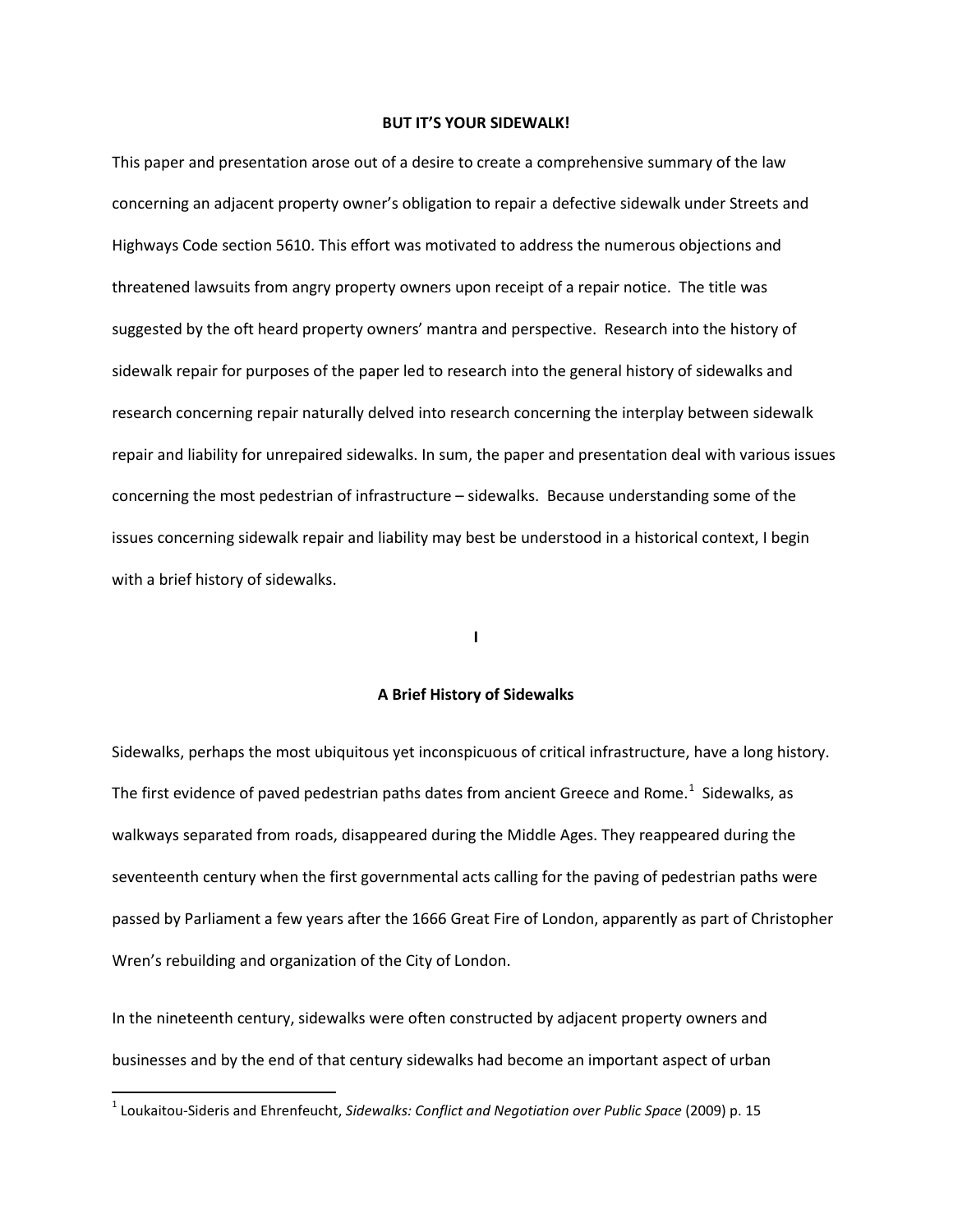# **BUT IT'S YOUR SIDEWALK!**

This paper and presentation arose out of a desire to create a comprehensive summary of the law concerning an adjacent property owner's obligation to repair a defective sidewalk under Streets and Highways Code section 5610. This effort was motivated to address the numerous objections and threatened lawsuits from angry property owners upon receipt of a repair notice. The title was suggested by the oft heard property owners' mantra and perspective. Research into the history of sidewalk repair for purposes of the paper led to research into the general history of sidewalks and research concerning repair naturally delved into research concerning the interplay between sidewalk repair and liability for unrepaired sidewalks. In sum, the paper and presentation deal with various issues concerning the most pedestrian of infrastructure – sidewalks. Because understanding some of the issues concerning sidewalk repair and liability may best be understood in a historical context, I begin with a brief history of sidewalks.

#### **I**

# **A Brief History of Sidewalks**

Sidewalks, perhaps the most ubiquitous yet inconspicuous of critical infrastructure, have a long history. The first evidence of paved pedestrian paths dates from ancient Greece and Rome.<sup>[1](#page-2-0)</sup> Sidewalks, as walkways separated from roads, disappeared during the Middle Ages. They reappeared during the seventeenth century when the first governmental acts calling for the paving of pedestrian paths were passed by Parliament a few years after the 1666 Great Fire of London, apparently as part of Christopher Wren's rebuilding and organization of the City of London.

In the nineteenth century, sidewalks were often constructed by adjacent property owners and businesses and by the end of that century sidewalks had become an important aspect of urban

<span id="page-2-0"></span> <sup>1</sup> Loukaitou-Sideris and Ehrenfeucht, *Sidewalks: Conflict and Negotiation over Public Space* (2009) p. 15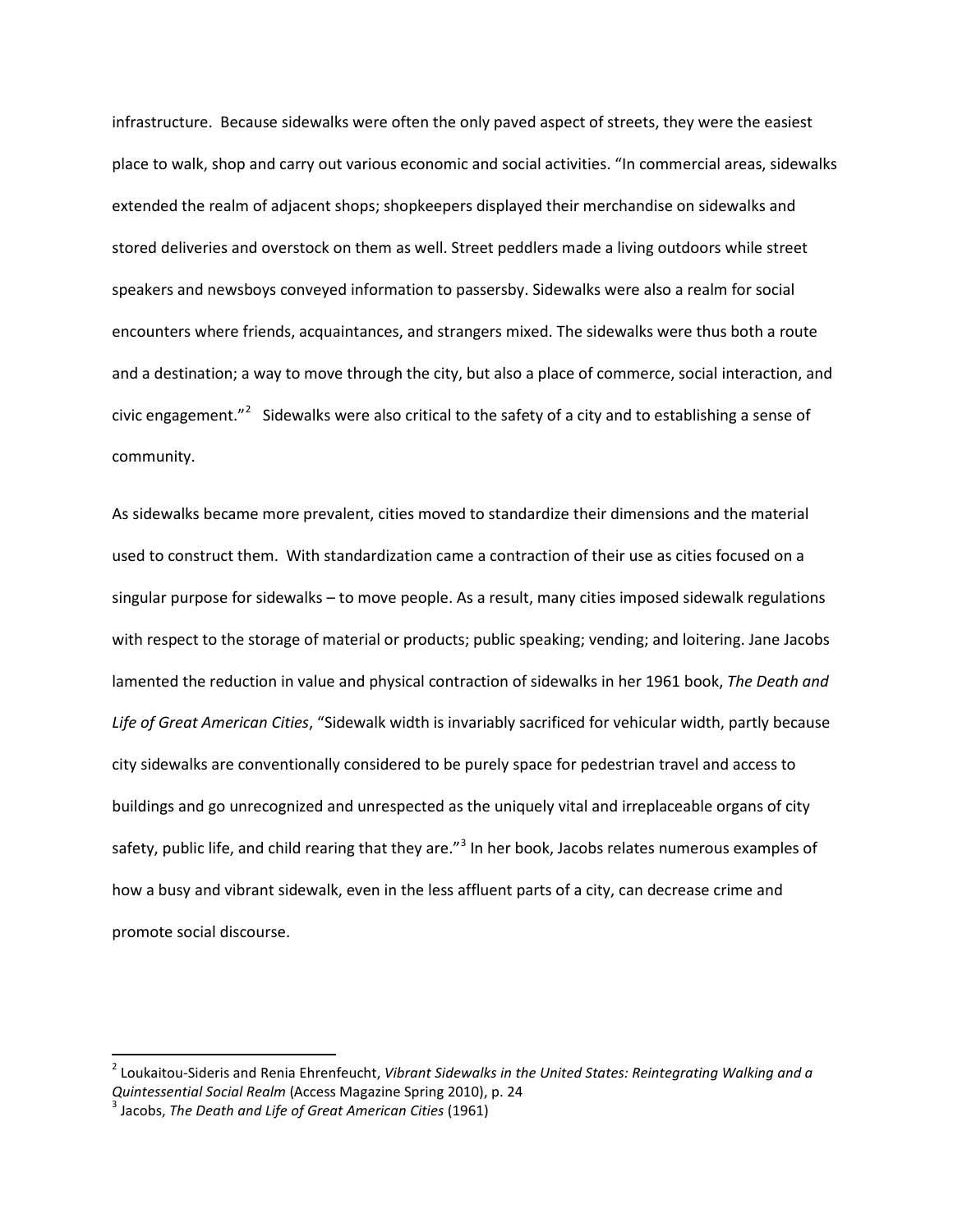infrastructure. Because sidewalks were often the only paved aspect of streets, they were the easiest place to walk, shop and carry out various economic and social activities. "In commercial areas, sidewalks extended the realm of adjacent shops; shopkeepers displayed their merchandise on sidewalks and stored deliveries and overstock on them as well. Street peddlers made a living outdoors while street speakers and newsboys conveyed information to passersby. Sidewalks were also a realm for social encounters where friends, acquaintances, and strangers mixed. The sidewalks were thus both a route and a destination; a way to move through the city, but also a place of commerce, social interaction, and civic engagement."<sup>[2](#page-3-0)</sup> Sidewalks were also critical to the safety of a city and to establishing a sense of community.

As sidewalks became more prevalent, cities moved to standardize their dimensions and the material used to construct them. With standardization came a contraction of their use as cities focused on a singular purpose for sidewalks – to move people. As a result, many cities imposed sidewalk regulations with respect to the storage of material or products; public speaking; vending; and loitering. Jane Jacobs lamented the reduction in value and physical contraction of sidewalks in her 1961 book, *The Death and Life of Great American Cities*, "Sidewalk width is invariably sacrificed for vehicular width, partly because city sidewalks are conventionally considered to be purely space for pedestrian travel and access to buildings and go unrecognized and unrespected as the uniquely vital and irreplaceable organs of city safety, public life, and child rearing that they are."<sup>[3](#page-3-1)</sup> In her book, Jacobs relates numerous examples of how a busy and vibrant sidewalk, even in the less affluent parts of a city, can decrease crime and promote social discourse.

<span id="page-3-0"></span> <sup>2</sup> Loukaitou-Sideris and Renia Ehrenfeucht, *Vibrant Sidewalks in the United States: Reintegrating Walking and a Quintessential Social Realm* (Access Magazine Spring 2010), p. 24 <sup>3</sup> Jacobs, *The Death and Life of Great American Cities* (1961)

<span id="page-3-1"></span>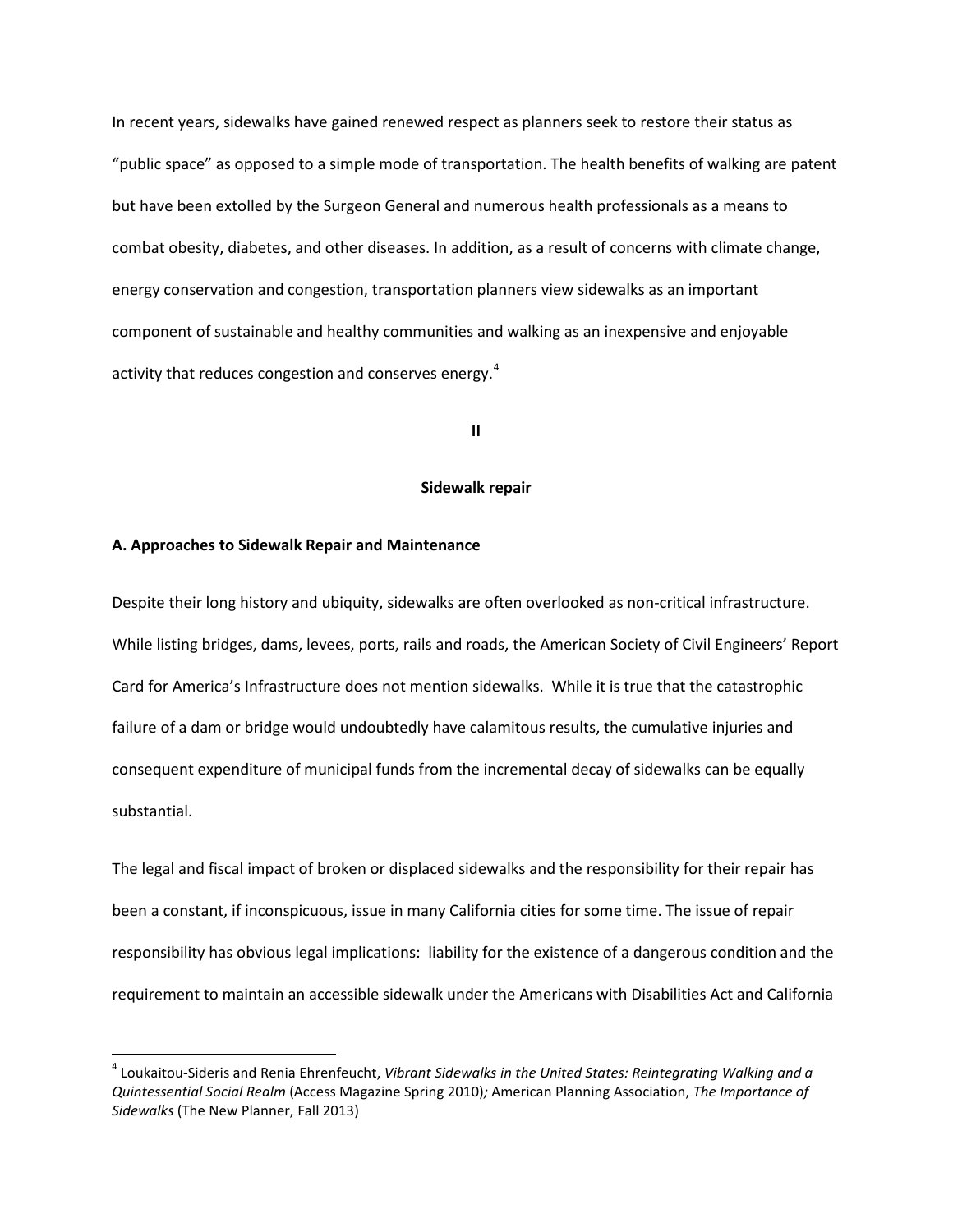In recent years, sidewalks have gained renewed respect as planners seek to restore their status as "public space" as opposed to a simple mode of transportation. The health benefits of walking are patent but have been extolled by the Surgeon General and numerous health professionals as a means to combat obesity, diabetes, and other diseases. In addition, as a result of concerns with climate change, energy conservation and congestion, transportation planners view sidewalks as an important component of sustainable and healthy communities and walking as an inexpensive and enjoyable activity that reduces congestion and conserves energy.<sup>[4](#page-4-0)</sup>

# **II**

# **Sidewalk repair**

#### **A. Approaches to Sidewalk Repair and Maintenance**

Despite their long history and ubiquity, sidewalks are often overlooked as non-critical infrastructure. While listing bridges, dams, levees, ports, rails and roads, the American Society of Civil Engineers' Report Card for America's Infrastructure does not mention sidewalks. While it is true that the catastrophic failure of a dam or bridge would undoubtedly have calamitous results, the cumulative injuries and consequent expenditure of municipal funds from the incremental decay of sidewalks can be equally substantial.

The legal and fiscal impact of broken or displaced sidewalks and the responsibility for their repair has been a constant, if inconspicuous, issue in many California cities for some time. The issue of repair responsibility has obvious legal implications: liability for the existence of a dangerous condition and the requirement to maintain an accessible sidewalk under the Americans with Disabilities Act and California

<span id="page-4-0"></span> <sup>4</sup> Loukaitou-Sideris and Renia Ehrenfeucht, *Vibrant Sidewalks in the United States: Reintegrating Walking and a Quintessential Social Realm* (Access Magazine Spring 2010)*;* American Planning Association, *The Importance of Sidewalks* (The New Planner, Fall 2013)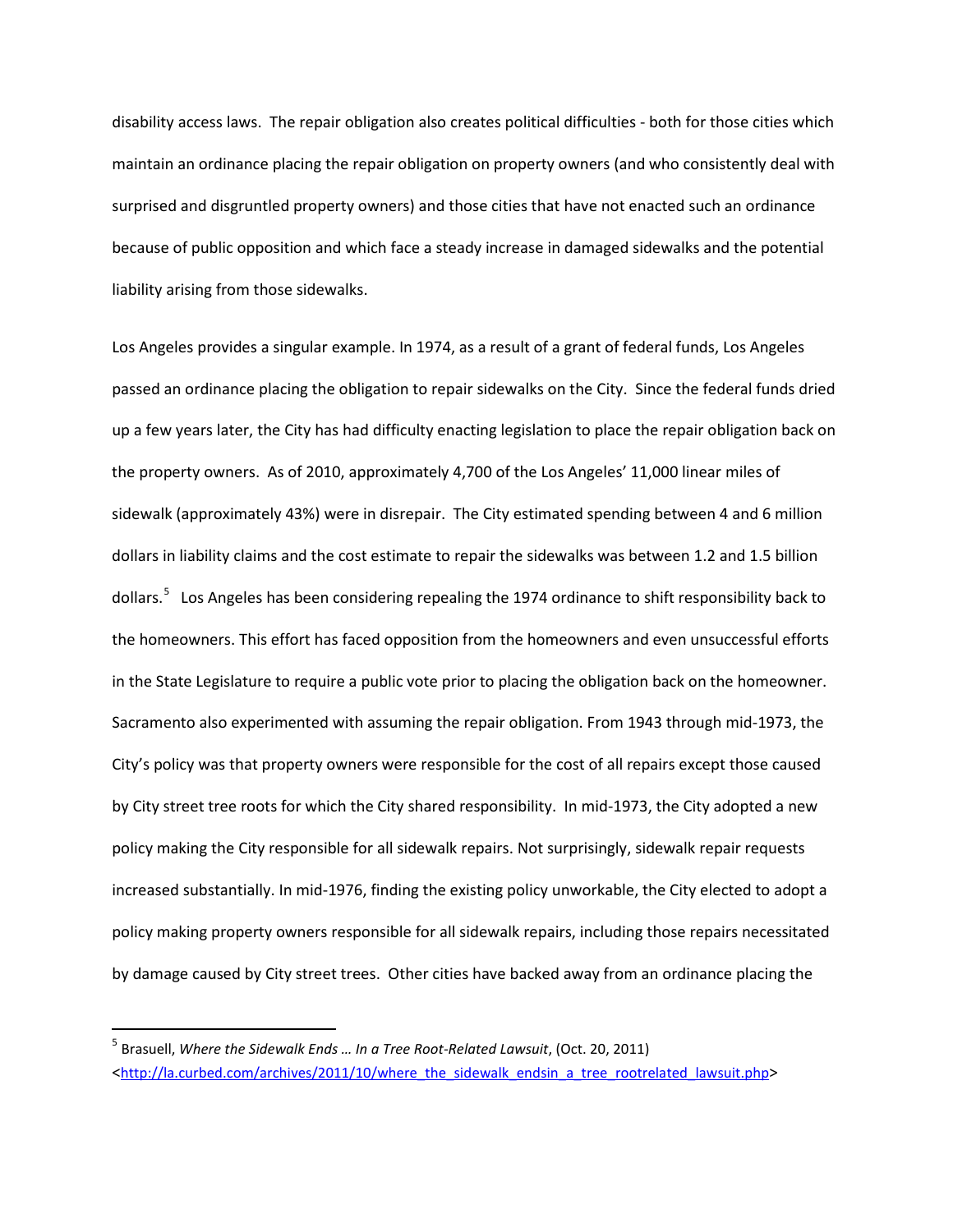disability access laws. The repair obligation also creates political difficulties - both for those cities which maintain an ordinance placing the repair obligation on property owners (and who consistently deal with surprised and disgruntled property owners) and those cities that have not enacted such an ordinance because of public opposition and which face a steady increase in damaged sidewalks and the potential liability arising from those sidewalks.

Los Angeles provides a singular example. In 1974, as a result of a grant of federal funds, Los Angeles passed an ordinance placing the obligation to repair sidewalks on the City. Since the federal funds dried up a few years later, the City has had difficulty enacting legislation to place the repair obligation back on the property owners. As of 2010, approximately 4,700 of the Los Angeles' 11,000 linear miles of sidewalk (approximately 43%) were in disrepair. The City estimated spending between 4 and 6 million dollars in liability claims and the cost estimate to repair the sidewalks was between 1.2 and 1.5 billion dollars.<sup>[5](#page-5-0)</sup> Los Angeles has been considering repealing the 1974 ordinance to shift responsibility back to the homeowners. This effort has faced opposition from the homeowners and even unsuccessful efforts in the State Legislature to require a public vote prior to placing the obligation back on the homeowner. Sacramento also experimented with assuming the repair obligation. From 1943 through mid-1973, the City's policy was that property owners were responsible for the cost of all repairs except those caused by City street tree roots for which the City shared responsibility. In mid-1973, the City adopted a new policy making the City responsible for all sidewalk repairs. Not surprisingly, sidewalk repair requests increased substantially. In mid-1976, finding the existing policy unworkable, the City elected to adopt a policy making property owners responsible for all sidewalk repairs, including those repairs necessitated by damage caused by City street trees. Other cities have backed away from an ordinance placing the

<span id="page-5-0"></span> <sup>5</sup> Brasuell, *Where the Sidewalk Ends … In a Tree Root-Related Lawsuit*, (Oct. 20, 2011) [<http://la.curbed.com/archives/2011/10/where\\_the\\_sidewalk\\_endsin\\_a\\_tree\\_rootrelated\\_lawsuit.php>](http://la.curbed.com/archives/2011/10/where_the_sidewalk_endsin_a_tree_rootrelated_lawsuit.php)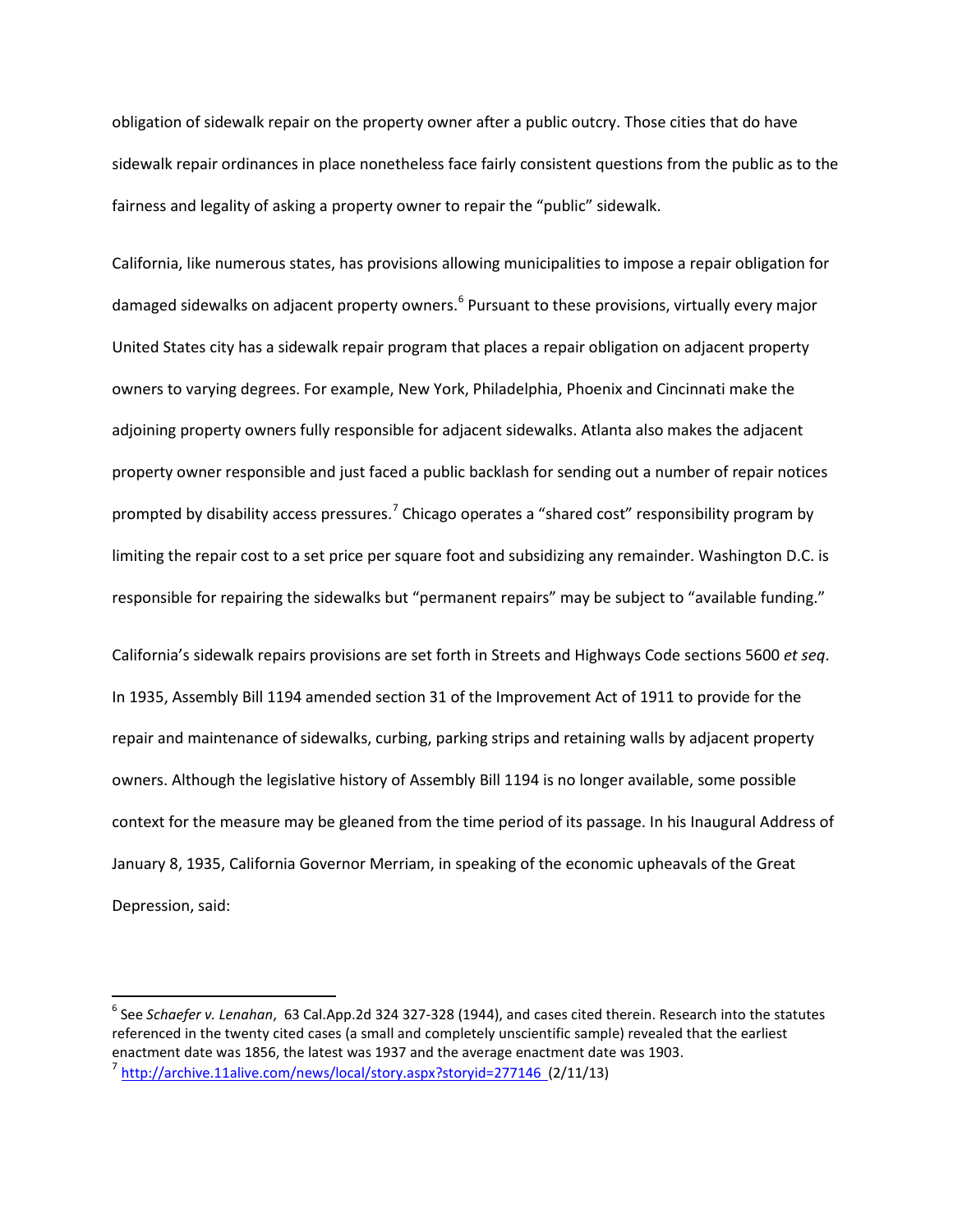obligation of sidewalk repair on the property owner after a public outcry. Those cities that do have sidewalk repair ordinances in place nonetheless face fairly consistent questions from the public as to the fairness and legality of asking a property owner to repair the "public" sidewalk.

California, like numerous states, has provisions allowing municipalities to impose a repair obligation for damaged sidewalks on adjacent property owners.<sup>[6](#page-6-0)</sup> Pursuant to these provisions, virtually every major United States city has a sidewalk repair program that places a repair obligation on adjacent property owners to varying degrees. For example, New York, Philadelphia, Phoenix and Cincinnati make the adjoining property owners fully responsible for adjacent sidewalks. Atlanta also makes the adjacent property owner responsible and just faced a public backlash for sending out a number of repair notices prompted by disability access pressures.<sup>[7](#page-6-1)</sup> Chicago operates a "shared cost" responsibility program by limiting the repair cost to a set price per square foot and subsidizing any remainder. Washington D.C. is responsible for repairing the sidewalks but "permanent repairs" may be subject to "available funding."

California's sidewalk repairs provisions are set forth in Streets and Highways Code sections 5600 *et seq*. In 1935, Assembly Bill 1194 amended section 31 of the Improvement Act of 1911 to provide for the repair and maintenance of sidewalks, curbing, parking strips and retaining walls by adjacent property owners. Although the legislative history of Assembly Bill 1194 is no longer available, some possible context for the measure may be gleaned from the time period of its passage. In his Inaugural Address of January 8, 1935, California Governor Merriam, in speaking of the economic upheavals of the Great Depression, said:

<span id="page-6-1"></span><span id="page-6-0"></span> <sup>6</sup> See *Schaefer v. Lenahan*, 63 Cal.App.2d 324 327-328 (1944), and cases cited therein. Research into the statutes referenced in the twenty cited cases (a small and completely unscientific sample) revealed that the earliest enactment date was 1856, the latest was 1937 and the average enactment date was 1903. <sup>7</sup> <http://archive.11alive.com/news/local/story.aspx?storyid=277146>(2/11/13)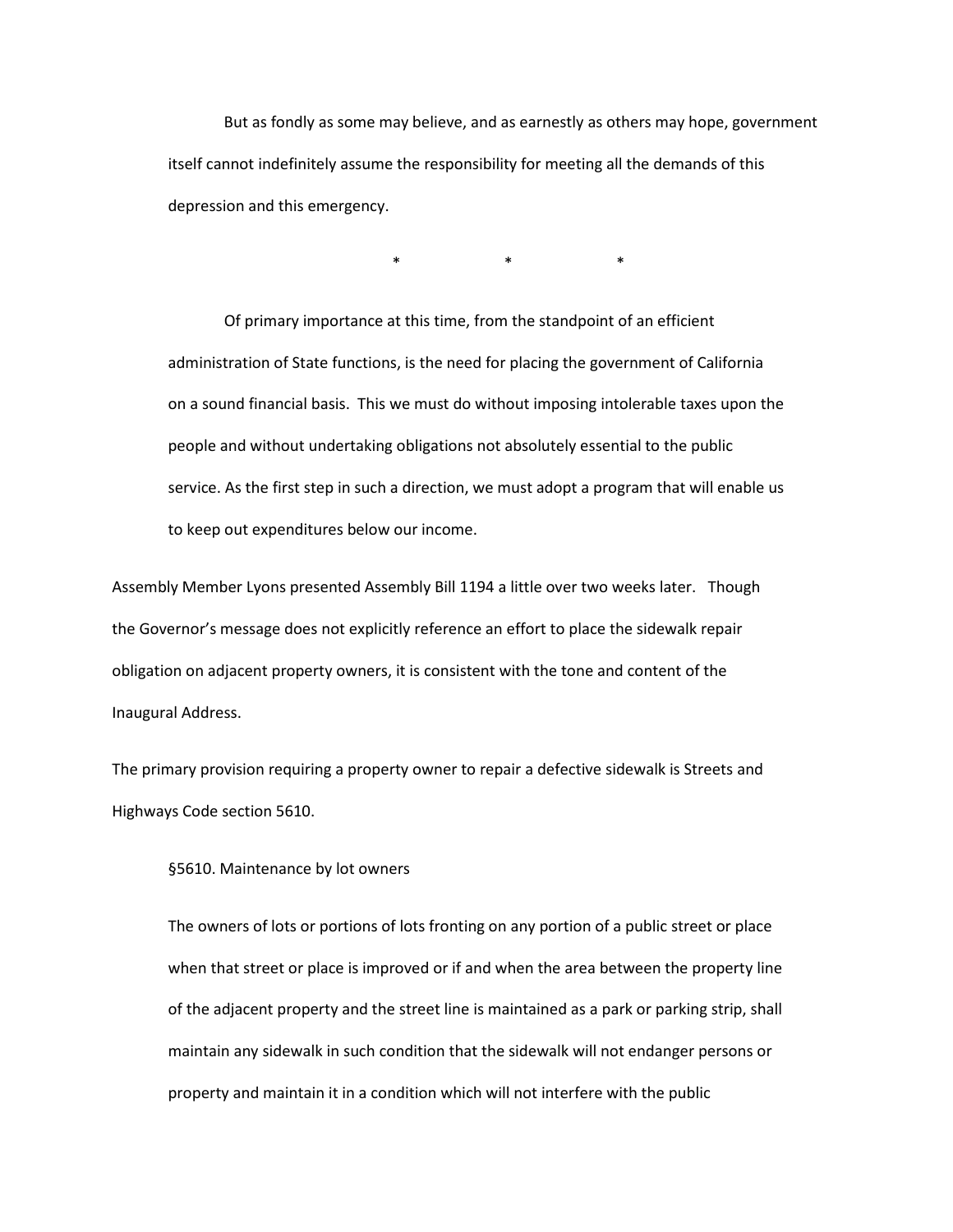But as fondly as some may believe, and as earnestly as others may hope, government itself cannot indefinitely assume the responsibility for meeting all the demands of this depression and this emergency.

\* \* \*

Of primary importance at this time, from the standpoint of an efficient administration of State functions, is the need for placing the government of California on a sound financial basis. This we must do without imposing intolerable taxes upon the people and without undertaking obligations not absolutely essential to the public service. As the first step in such a direction, we must adopt a program that will enable us to keep out expenditures below our income.

Assembly Member Lyons presented Assembly Bill 1194 a little over two weeks later. Though the Governor's message does not explicitly reference an effort to place the sidewalk repair obligation on adjacent property owners, it is consistent with the tone and content of the Inaugural Address.

The primary provision requiring a property owner to repair a defective sidewalk is Streets and Highways Code section 5610.

§5610. Maintenance by lot owners

The owners of lots or portions of lots fronting on any portion of a public street or place when that street or place is improved or if and when the area between the property line of the adjacent property and the street line is maintained as a park or parking strip, shall maintain any sidewalk in such condition that the sidewalk will not endanger persons or property and maintain it in a condition which will not interfere with the public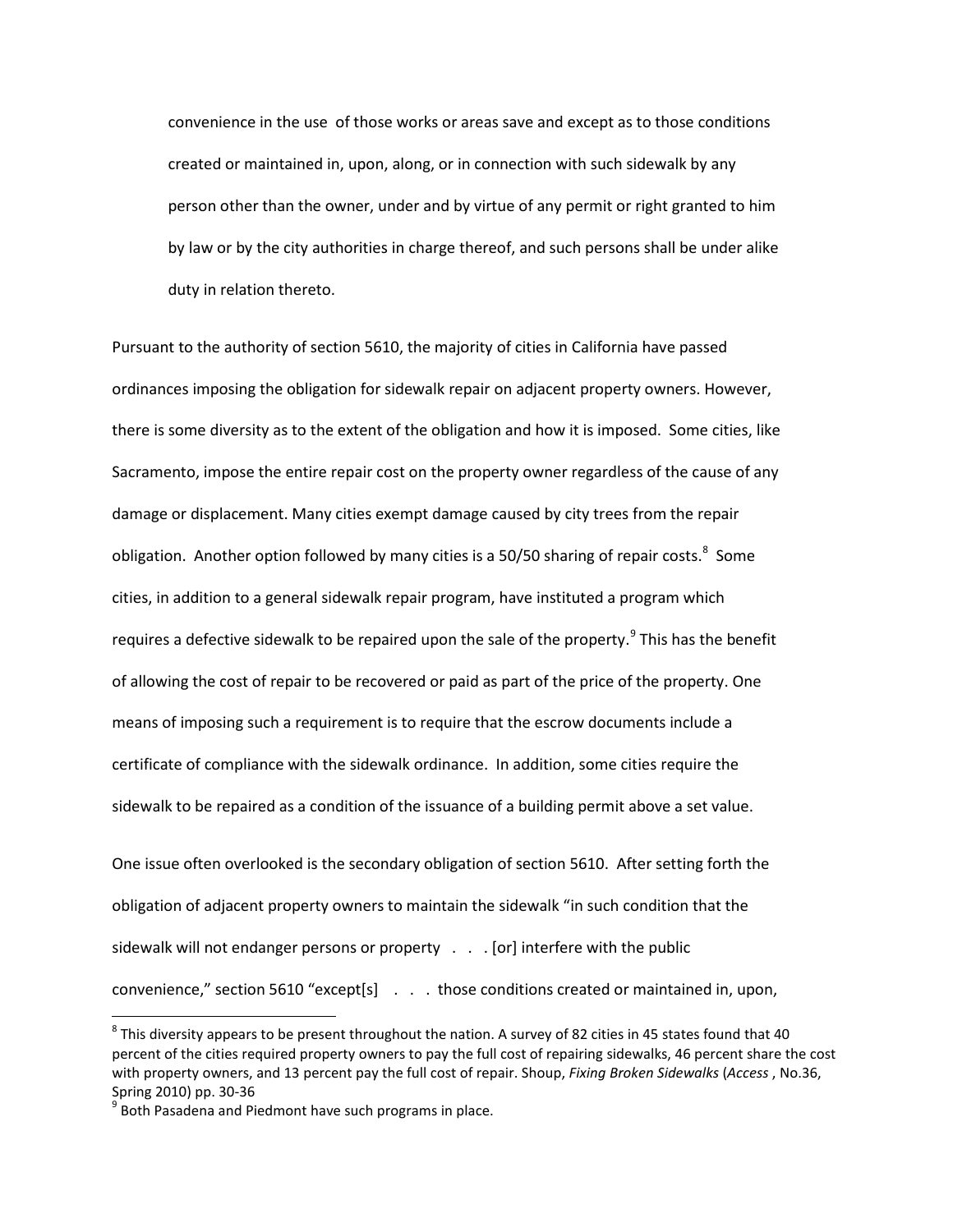convenience in the use of those works or areas save and except as to those conditions created or maintained in, upon, along, or in connection with such sidewalk by any person other than the owner, under and by virtue of any permit or right granted to him by law or by the city authorities in charge thereof, and such persons shall be under alike duty in relation thereto.

Pursuant to the authority of section 5610, the majority of cities in California have passed ordinances imposing the obligation for sidewalk repair on adjacent property owners. However, there is some diversity as to the extent of the obligation and how it is imposed. Some cities, like Sacramento, impose the entire repair cost on the property owner regardless of the cause of any damage or displacement. Many cities exempt damage caused by city trees from the repair obligation. Another option followed by many cities is a 50/50 sharing of repair costs.<sup>[8](#page-8-0)</sup> Some cities, in addition to a general sidewalk repair program, have instituted a program which requires a defective sidewalk to be repaired upon the sale of the property.<sup>[9](#page-8-1)</sup> This has the benefit of allowing the cost of repair to be recovered or paid as part of the price of the property. One means of imposing such a requirement is to require that the escrow documents include a certificate of compliance with the sidewalk ordinance. In addition, some cities require the sidewalk to be repaired as a condition of the issuance of a building permit above a set value.

One issue often overlooked is the secondary obligation of section 5610. After setting forth the obligation of adjacent property owners to maintain the sidewalk "in such condition that the sidewalk will not endanger persons or property . . . [or] interfere with the public convenience," section 5610 "except[s] . . . those conditions created or maintained in, upon,

<span id="page-8-0"></span> $8$  This diversity appears to be present throughout the nation. A survey of 82 cities in 45 states found that 40 percent of the cities required property owners to pay the full cost of repairing sidewalks, 46 percent share the cost with property owners, and 13 percent pay the full cost of repair. Shoup, *Fixing Broken Sidewalks* (*Access* , No.36, Spring 2010) pp. 30-36<br> $9$  Both Pasadena and Piedmont have such programs in place.

<span id="page-8-1"></span>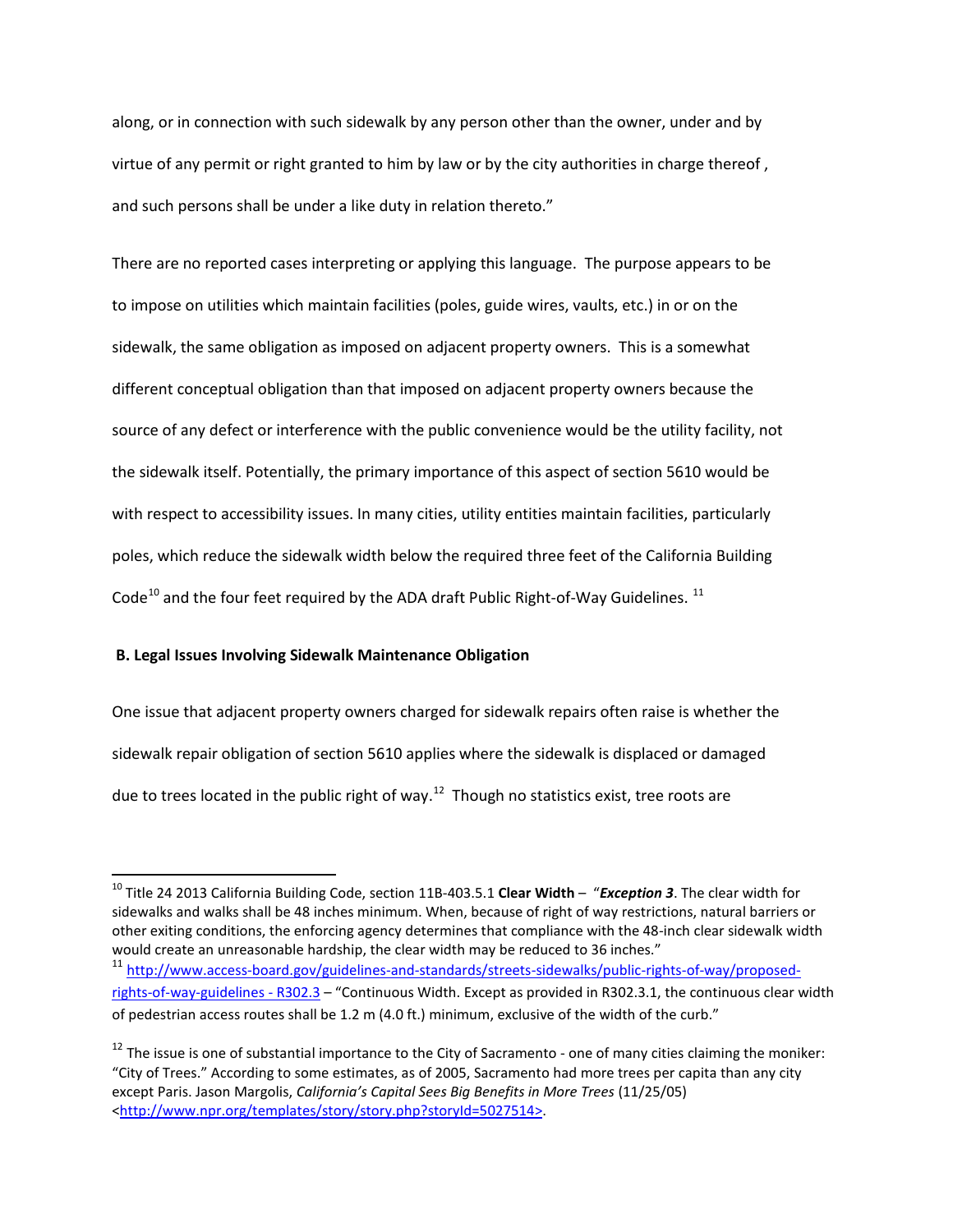along, or in connection with such sidewalk by any person other than the owner, under and by virtue of any permit or right granted to him by law or by the city authorities in charge thereof , and such persons shall be under a like duty in relation thereto."

There are no reported cases interpreting or applying this language. The purpose appears to be to impose on utilities which maintain facilities (poles, guide wires, vaults, etc.) in or on the sidewalk, the same obligation as imposed on adjacent property owners. This is a somewhat different conceptual obligation than that imposed on adjacent property owners because the source of any defect or interference with the public convenience would be the utility facility, not the sidewalk itself. Potentially, the primary importance of this aspect of section 5610 would be with respect to accessibility issues. In many cities, utility entities maintain facilities, particularly poles, which reduce the sidewalk width below the required three feet of the California Building Code<sup>[10](#page-9-0)</sup> and the four feet required by the ADA draft Public Right-of-Way Guidelines.<sup>[11](#page-9-1)</sup>

# **B. Legal Issues Involving Sidewalk Maintenance Obligation**

One issue that adjacent property owners charged for sidewalk repairs often raise is whether the sidewalk repair obligation of section 5610 applies where the sidewalk is displaced or damaged due to trees located in the public right of way.<sup>[12](#page-9-2)</sup> Though no statistics exist, tree roots are

<span id="page-9-0"></span> <sup>10</sup> Title 24 2013 California Building Code, section 11B-403.5.1 **Clear Width** – "*Exception 3*. The clear width for sidewalks and walks shall be 48 inches minimum. When, because of right of way restrictions, natural barriers or other exiting conditions, the enforcing agency determines that compliance with the 48-inch clear sidewalk width would create an unreasonable hardship, the clear width may be reduced to 36 inches." <sup>11</sup> [http://www.access-board.gov/guidelines-and-standards/streets-sidewalks/public-rights-of-way/proposed-](http://www.access-board.gov/guidelines-and-standards/streets-sidewalks/public-rights-of-way/proposed-rights-of-way-guidelines%20-%20R302.3)

<span id="page-9-1"></span>[rights-of-way-guidelines](http://www.access-board.gov/guidelines-and-standards/streets-sidewalks/public-rights-of-way/proposed-rights-of-way-guidelines%20-%20R302.3) - R302.3 - "Continuous Width. Except as provided in R302.3.1, the continuous clear width of pedestrian access routes shall be 1.2 m (4.0 ft.) minimum, exclusive of the width of the curb."

<span id="page-9-2"></span> $12$  The issue is one of substantial importance to the City of Sacramento - one of many cities claiming the moniker: "City of Trees." According to some estimates, as of 2005, Sacramento had more trees per capita than any city except Paris. Jason Margolis, *California's Capital Sees Big Benefits in More Trees* (11/25/05) [<http://www.npr.org/templates/story/story.php?storyId=5027514>](http://www.npr.org/templates/story/story.php?storyId=5027514).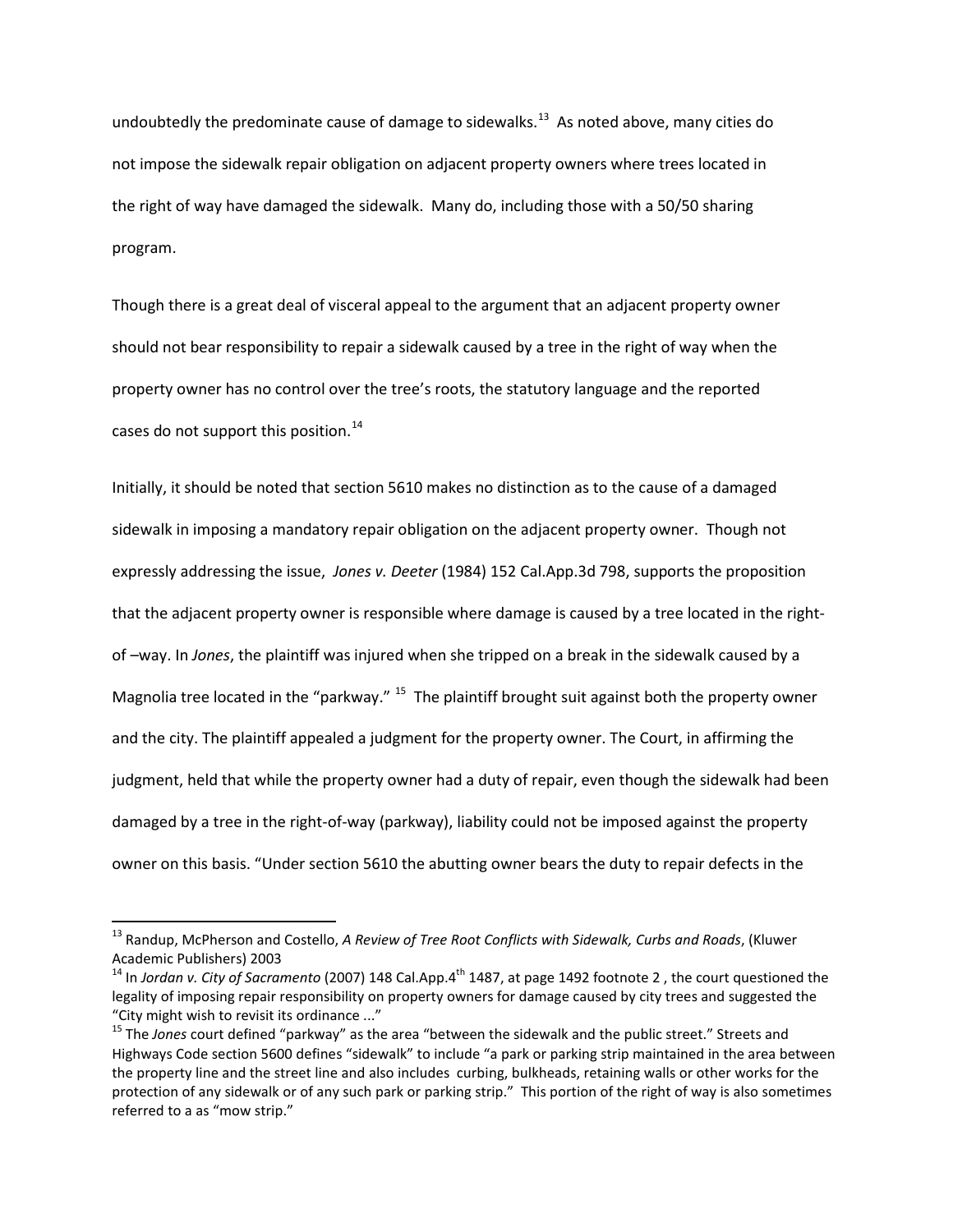undoubtedly the predominate cause of damage to sidewalks.<sup>13</sup> As noted above, many cities do not impose the sidewalk repair obligation on adjacent property owners where trees located in the right of way have damaged the sidewalk. Many do, including those with a 50/50 sharing program.

Though there is a great deal of visceral appeal to the argument that an adjacent property owner should not bear responsibility to repair a sidewalk caused by a tree in the right of way when the property owner has no control over the tree's roots, the statutory language and the reported cases do not support this position.<sup>[14](#page-10-1)</sup>

Initially, it should be noted that section 5610 makes no distinction as to the cause of a damaged sidewalk in imposing a mandatory repair obligation on the adjacent property owner. Though not expressly addressing the issue, *Jones v. Deeter* (1984) 152 Cal.App.3d 798, supports the proposition that the adjacent property owner is responsible where damage is caused by a tree located in the rightof –way. In *Jones*, the plaintiff was injured when she tripped on a break in the sidewalk caused by a Magnolia tree located in the "parkway." <sup>[15](#page-10-2)</sup> The plaintiff brought suit against both the property owner and the city. The plaintiff appealed a judgment for the property owner. The Court, in affirming the judgment, held that while the property owner had a duty of repair, even though the sidewalk had been damaged by a tree in the right-of-way (parkway), liability could not be imposed against the property owner on this basis. "Under section 5610 the abutting owner bears the duty to repair defects in the

<span id="page-10-0"></span><sup>&</sup>lt;sup>13</sup> Randup, McPherson and Costello, *A Review of Tree Root Conflicts with Sidewalk, Curbs and Roads*, (Kluwer<br>Academic Publishers) 2003

<span id="page-10-1"></span><sup>&</sup>lt;sup>14</sup> In *Jordan v. City of Sacramento* (2007) 148 Cal.App.4<sup>th</sup> 1487, at page 1492 footnote 2, the court questioned the legality of imposing repair responsibility on property owners for damage caused by city trees and suggested the "City might wish to revisit its ordinance ..."<br><sup>15</sup> The *Jones* court defined "parkway" as the area "between the sidewalk and the public street." Streets and

<span id="page-10-2"></span>Highways Code section 5600 defines "sidewalk" to include "a park or parking strip maintained in the area between the property line and the street line and also includes curbing, bulkheads, retaining walls or other works for the protection of any sidewalk or of any such park or parking strip." This portion of the right of way is also sometimes referred to a as "mow strip."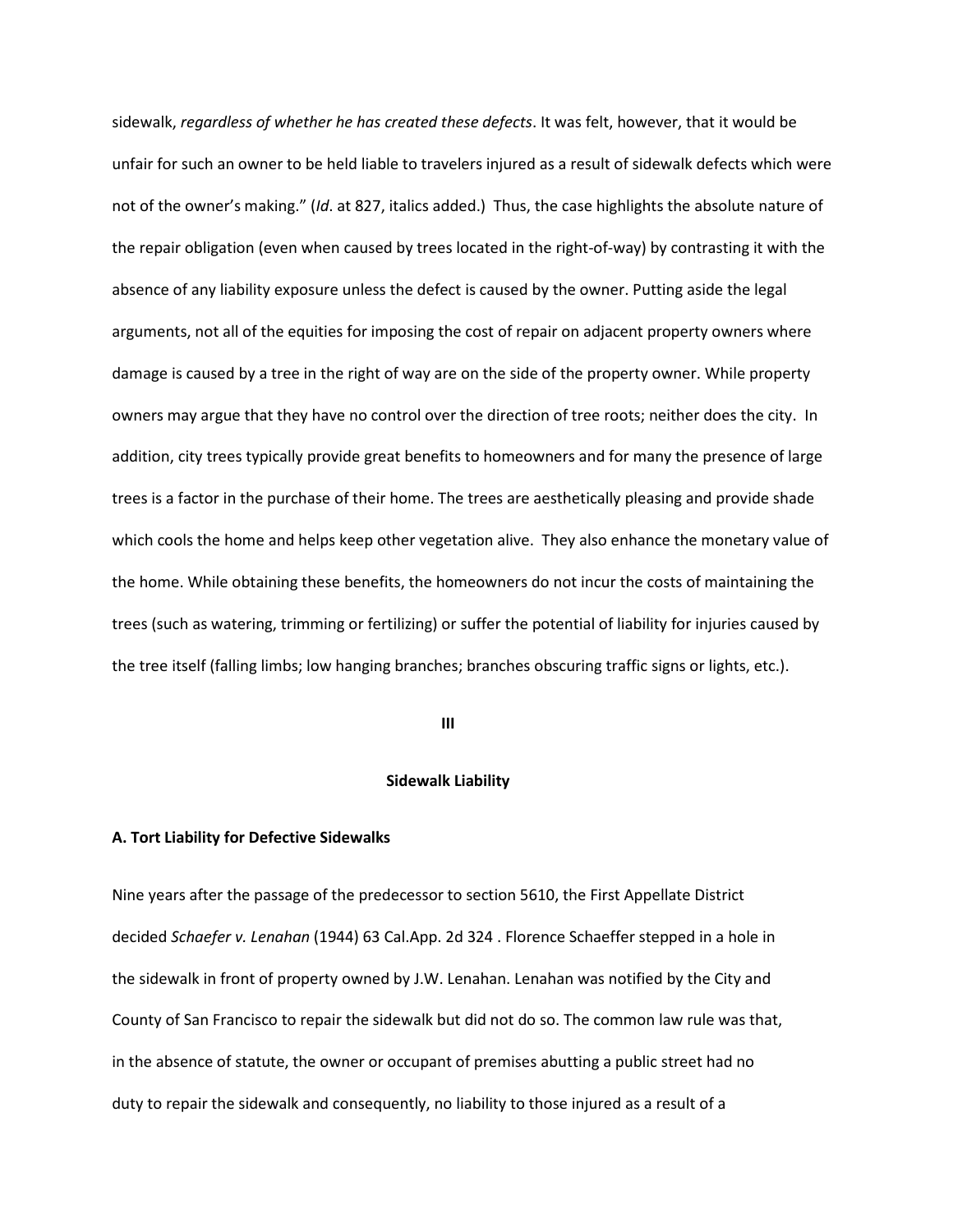sidewalk, *regardless of whether he has created these defects*. It was felt, however, that it would be unfair for such an owner to be held liable to travelers injured as a result of sidewalk defects which were not of the owner's making." (*Id*. at 827, italics added.) Thus, the case highlights the absolute nature of the repair obligation (even when caused by trees located in the right-of-way) by contrasting it with the absence of any liability exposure unless the defect is caused by the owner. Putting aside the legal arguments, not all of the equities for imposing the cost of repair on adjacent property owners where damage is caused by a tree in the right of way are on the side of the property owner. While property owners may argue that they have no control over the direction of tree roots; neither does the city. In addition, city trees typically provide great benefits to homeowners and for many the presence of large trees is a factor in the purchase of their home. The trees are aesthetically pleasing and provide shade which cools the home and helps keep other vegetation alive. They also enhance the monetary value of the home. While obtaining these benefits, the homeowners do not incur the costs of maintaining the trees (such as watering, trimming or fertilizing) or suffer the potential of liability for injuries caused by the tree itself (falling limbs; low hanging branches; branches obscuring traffic signs or lights, etc.).

**III**

# **Sidewalk Liability**

# **A. Tort Liability for Defective Sidewalks**

Nine years after the passage of the predecessor to section 5610, the First Appellate District decided *Schaefer v. Lenahan* (1944) 63 Cal.App. 2d 324 . Florence Schaeffer stepped in a hole in the sidewalk in front of property owned by J.W. Lenahan. Lenahan was notified by the City and County of San Francisco to repair the sidewalk but did not do so. The common law rule was that, in the absence of statute, the owner or occupant of premises abutting a public street had no duty to repair the sidewalk and consequently, no liability to those injured as a result of a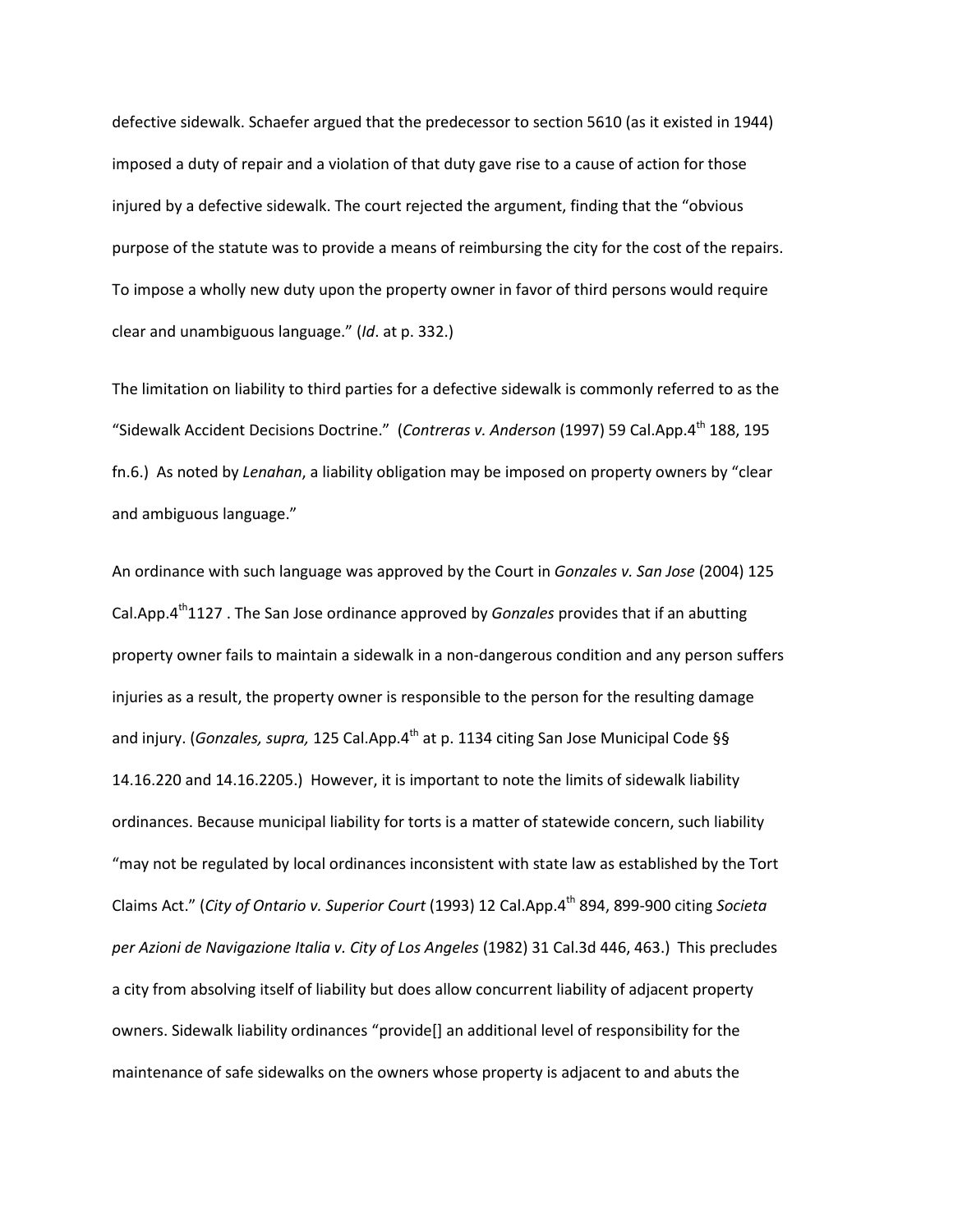defective sidewalk. Schaefer argued that the predecessor to section 5610 (as it existed in 1944) imposed a duty of repair and a violation of that duty gave rise to a cause of action for those injured by a defective sidewalk. The court rejected the argument, finding that the "obvious purpose of the statute was to provide a means of reimbursing the city for the cost of the repairs. To impose a wholly new duty upon the property owner in favor of third persons would require clear and unambiguous language." (*Id*. at p. 332.)

The limitation on liability to third parties for a defective sidewalk is commonly referred to as the "Sidewalk Accident Decisions Doctrine." (*Contreras v. Anderson* (1997) 59 Cal.App.4th 188, 195 fn.6.) As noted by *Lenahan*, a liability obligation may be imposed on property owners by "clear and ambiguous language."

An ordinance with such language was approved by the Court in *Gonzales v. San Jose* (2004) 125 Cal.App.4<sup>th</sup>1127 . The San Jose ordinance approved by *Gonzales* provides that if an abutting property owner fails to maintain a sidewalk in a non-dangerous condition and any person suffers injuries as a result, the property owner is responsible to the person for the resulting damage and injury. (*Gonzales, supra,* 125 Cal.App.4<sup>th</sup> at p. 1134 citing San Jose Municipal Code §§ 14.16.220 and 14.16.2205.) However, it is important to note the limits of sidewalk liability ordinances. Because municipal liability for torts is a matter of statewide concern, such liability "may not be regulated by local ordinances inconsistent with state law as established by the Tort Claims Act." (*City of Ontario v. Superior Court* (1993) 12 Cal.App.4<sup>th</sup> 894, 899-900 citing *Societa per Azioni de Navigazione Italia v. City of Los Angeles* (1982) 31 Cal.3d 446, 463.) This precludes a city from absolving itself of liability but does allow concurrent liability of adjacent property owners. Sidewalk liability ordinances "provide[] an additional level of responsibility for the maintenance of safe sidewalks on the owners whose property is adjacent to and abuts the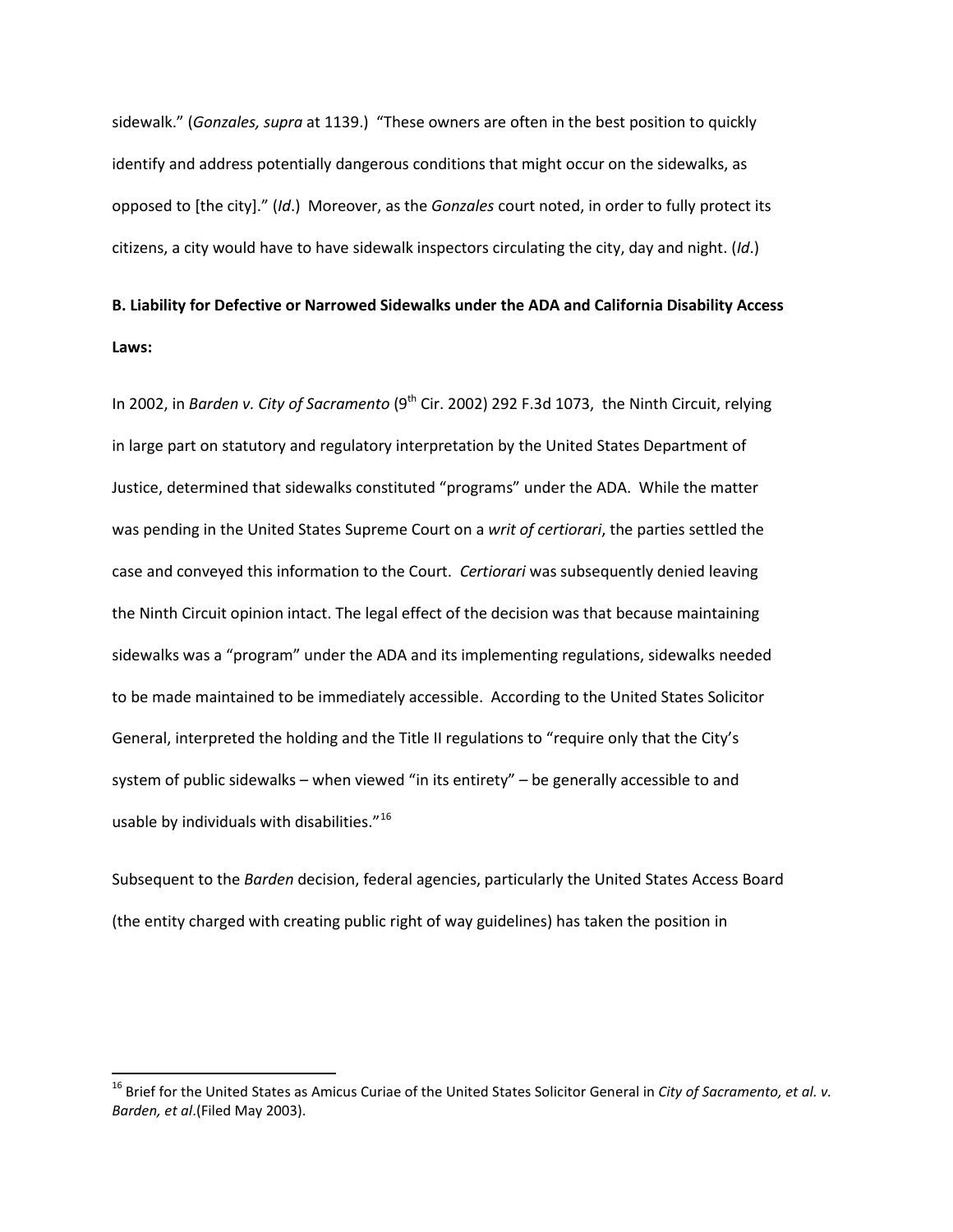sidewalk." (*Gonzales, supra* at 1139.) "These owners are often in the best position to quickly identify and address potentially dangerous conditions that might occur on the sidewalks, as opposed to [the city]." (*Id*.) Moreover, as the *Gonzales* court noted, in order to fully protect its citizens, a city would have to have sidewalk inspectors circulating the city, day and night. (*Id*.)

# **B. Liability for Defective or Narrowed Sidewalks under the ADA and California Disability Access Laws:**

In 2002, in *Barden v. City of Sacramento* (9<sup>th</sup> Cir. 2002) 292 F.3d 1073, the Ninth Circuit, relying in large part on statutory and regulatory interpretation by the United States Department of Justice, determined that sidewalks constituted "programs" under the ADA. While the matter was pending in the United States Supreme Court on a *writ of certiorari*, the parties settled the case and conveyed this information to the Court. *Certiorari* was subsequently denied leaving the Ninth Circuit opinion intact. The legal effect of the decision was that because maintaining sidewalks was a "program" under the ADA and its implementing regulations, sidewalks needed to be made maintained to be immediately accessible. According to the United States Solicitor General, interpreted the holding and the Title II regulations to "require only that the City's system of public sidewalks – when viewed "in its entirety" – be generally accessible to and usable by individuals with disabilities."<sup>16</sup>

Subsequent to the *Barden* decision, federal agencies, particularly the United States Access Board (the entity charged with creating public right of way guidelines) has taken the position in

<span id="page-13-0"></span> <sup>16</sup> Brief for the United States as Amicus Curiae of the United States Solicitor General in *City of Sacramento, et al. v. Barden, et al*.(Filed May 2003).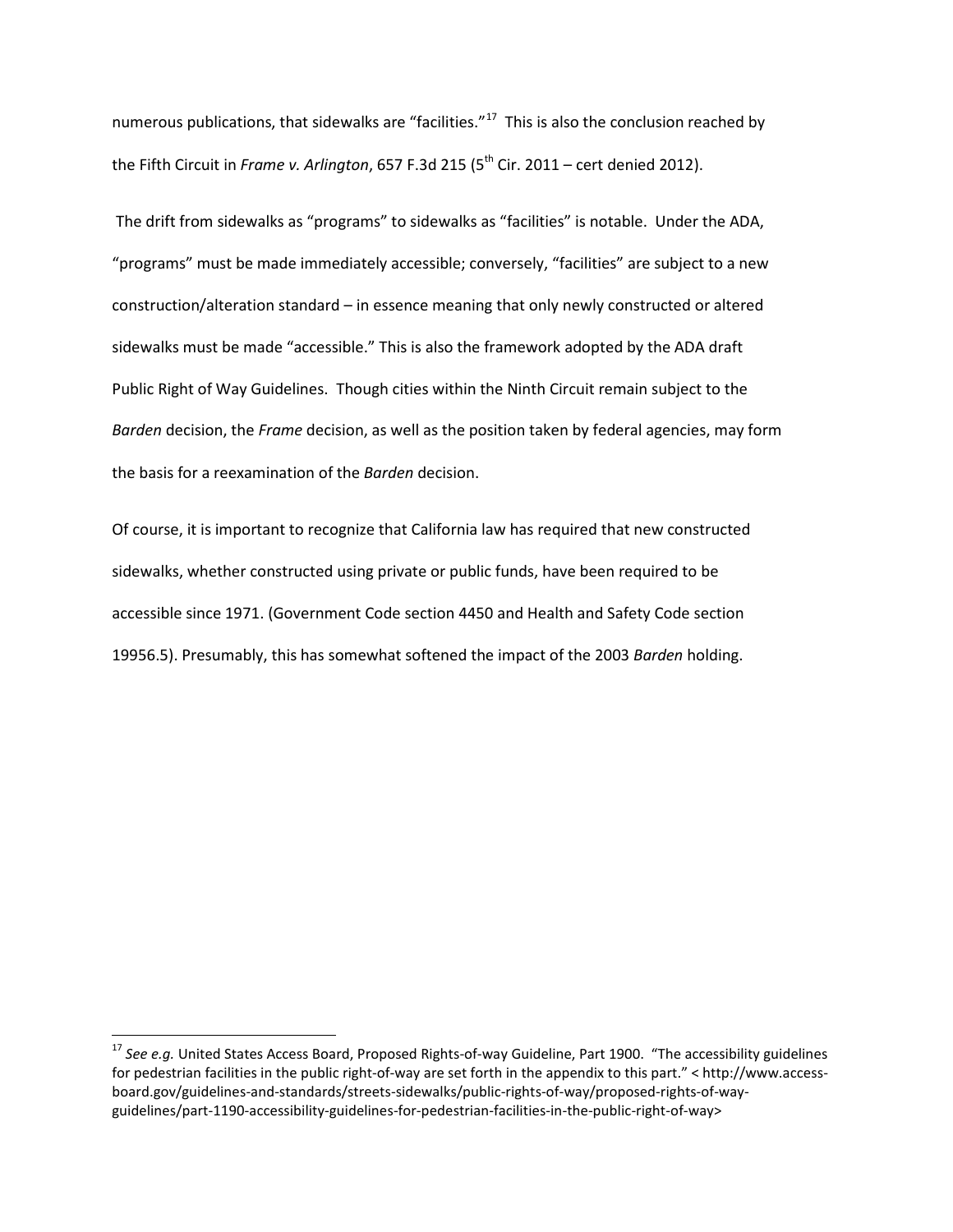numerous publications, that sidewalks are "facilities."<sup>[17](#page-14-0)</sup> This is also the conclusion reached by the Fifth Circuit in *Frame v. Arlington*, 657 F.3d 215 (5<sup>th</sup> Cir. 2011 – cert denied 2012).

The drift from sidewalks as "programs" to sidewalks as "facilities" is notable. Under the ADA, "programs" must be made immediately accessible; conversely, "facilities" are subject to a new construction/alteration standard – in essence meaning that only newly constructed or altered sidewalks must be made "accessible." This is also the framework adopted by the ADA draft Public Right of Way Guidelines. Though cities within the Ninth Circuit remain subject to the *Barden* decision, the *Frame* decision, as well as the position taken by federal agencies, may form the basis for a reexamination of the *Barden* decision.

Of course, it is important to recognize that California law has required that new constructed sidewalks, whether constructed using private or public funds, have been required to be accessible since 1971. (Government Code section 4450 and Health and Safety Code section 19956.5). Presumably, this has somewhat softened the impact of the 2003 *Barden* holding.

<span id="page-14-0"></span><sup>&</sup>lt;sup>17</sup> See e.g. United States Access Board, Proposed Rights-of-way Guideline, Part 1900. "The accessibility guidelines for pedestrian facilities in the public right-of-way are set forth in the appendix to this part." < http://www.accessboard.gov/guidelines-and-standards/streets-sidewalks/public-rights-of-way/proposed-rights-of-wayguidelines/part-1190-accessibility-guidelines-for-pedestrian-facilities-in-the-public-right-of-way>